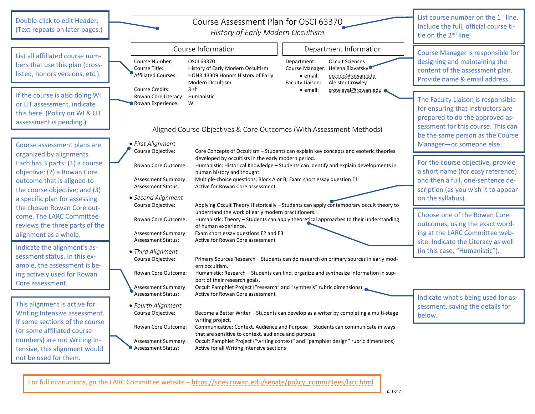| Double-click to edit Header.<br>(Text repeats on later pages.)                                                             | Course Assessment Plan for OSCI 63370<br>History of Early Modern Occultism                                                                                                                                                                                                                                                                                                                                    | List course number on the $1st$ line.<br>Include the full, official course ti-<br>tle on the $2nd$ line.                                         |
|----------------------------------------------------------------------------------------------------------------------------|---------------------------------------------------------------------------------------------------------------------------------------------------------------------------------------------------------------------------------------------------------------------------------------------------------------------------------------------------------------------------------------------------------------|--------------------------------------------------------------------------------------------------------------------------------------------------|
| List all affiliated course num-<br>bers that use this plan (cross-<br>listed, honors versions, etc.).                      | Course Information<br>Department Information<br><b>OSCI 63370</b><br><b>Occult Sciences</b><br>Department:<br>Course Number:<br>History of Early Modern Occultism<br>Course Manager:<br>Helena Blavatsky <sup>C</sup><br>Course Title:<br><b>Affiliated Courses:</b><br>HONR 43309 Honors History of Early<br>· email:<br>occdoc@rowan.edu<br>Modern Occultism<br>Faculty Liaison:<br><b>Aleister Crowley</b> | <b>Course Manager is responsible for</b><br>designing and maintaining the<br>content of the assessment plan.<br>Provide name & email address.    |
| If the course is also doing WI<br>or LIT assessment, indicate<br>this here. (Policy on WI & LIT<br>assessment is pending.) | <b>Course Credits:</b><br>3 sh<br>crowleyal@rowan.edu ●<br>· email:<br>Rowan Core Literacy: Humanistic<br>Rowan Experience:<br>WI<br>Aligned Course Objectives & Core Outcomes (With Assessment Methods)                                                                                                                                                                                                      | The Faculty Liaison is responsible<br>for ensuring that instructors are<br>prepared to do the approved as-<br>sessment for this course. This can |
| Course assessment plans are                                                                                                | · First Alignment<br>Course Objective:<br>Core Concepts of Occultism - Students can explain key concepts and esoteric theories                                                                                                                                                                                                                                                                                | be the same person as the Course<br>Manager-or someone else.                                                                                     |
| organized by alignments.<br>Each has 3 parts: (1) a course<br>objective; (2) a Rowan Core                                  | developed by occultists in the early modern period.<br>Rowan Core Outcome:<br>Humanistic: Historical Knowledge - Students can identify and explain developments in<br>human history and thought.                                                                                                                                                                                                              | For the course objective, provide<br>a short name (for easy reference)                                                                           |
| outcome that is aligned to<br>the course objective; and (3)<br>a specific plan for assessing                               | Multiple-choice questions, Block A or B; Exam short essay question E1<br><b>Assessment Summary:</b><br>Active for Rowan Core assessment<br><b>Assessment Status:</b><br>• Second Alignment                                                                                                                                                                                                                    | and then a full, one-sentence de-<br>scription (as you wish it to appear<br>on the syllabus).                                                    |
| the chosen Rowan Core out-<br>come. The LARC Committee<br>reviews the three parts of the<br>alignment as a whole.          | Applying Occult Theory Historically - Students can apply contemporary occult theory to<br>Course Objective:<br>understand the work of early modern practitioners.<br>Humanistic: Theory - Students can apply theoretical approaches to their understanding<br>Rowan Core Outcome:<br>of human experience.<br>Exam short essay questions E2 and E3<br><b>Assessment Summary:</b>                               | Choose one of the Rowan Core<br>outcomes, using the exact word-<br>ing at the LARC Committee web-                                                |
| Indicate the alignment's as-<br>sessment status. In this ex-                                                               | Active for Rowan Core assessment<br>Assessment Status:<br>• Third Alignment                                                                                                                                                                                                                                                                                                                                   | site. Indicate the Literacy as well<br>(in this case, "Humanistic").                                                                             |
| ample, the assessment is be-<br>ing actively used for Rowan<br>Core assessment.                                            | Course Objective:<br>Primary Sources Research - Students can do research on primary sources in early mod-<br>ern occultism.<br>Humanistic: Research - Students can find, organize and synthesize information in sup-<br>Rowan Core Outcome:<br>port of their research goals.                                                                                                                                  |                                                                                                                                                  |
| This alignment is active for                                                                                               | Occult Pamphlet Project ("research" and "synthesis" rubric dimensions)<br><b>Assessment Summary:</b><br>Active for Rowan Core assessment<br><b>Assessment Status:</b><br>• Fourth Alignment                                                                                                                                                                                                                   | Indicate what's being used for as-                                                                                                               |
| Writing Intensive assessment.<br>If some sections of the course                                                            | Course Objective:<br>Become a Better Writer - Students can develop as a writer by completing a multi-stage<br>writing project.                                                                                                                                                                                                                                                                                | sessment, saving the details for<br>below.                                                                                                       |
| (or some affiliated course<br>numbers) are not Writing In-<br>tensive, this alignment would<br>not be used for them.       | Communicative: Context, Audience and Purpose - Students can communicate in ways<br>Rowan Core Outcome:<br>that are sensitive to context, audience and purpose.<br>Occult Pamphlet Project ("writing context" and "pamphlet design" rubric dimensions)<br>Assessment Summary:<br><b>Assessment Status:</b><br>Active for all Writing Intensive sections                                                        |                                                                                                                                                  |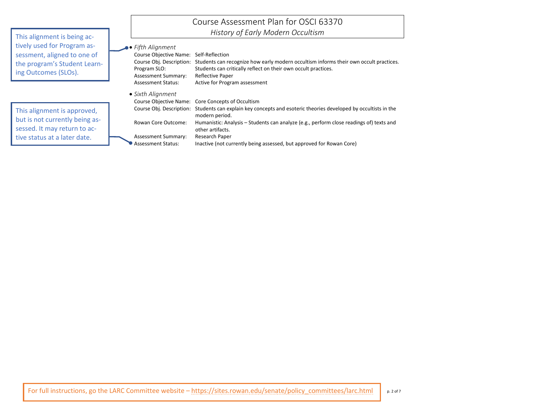|                                                                                                                    |                                                                                                                                      | Course Assessment Plan for OSCI 63370                                                                                                                                                          |
|--------------------------------------------------------------------------------------------------------------------|--------------------------------------------------------------------------------------------------------------------------------------|------------------------------------------------------------------------------------------------------------------------------------------------------------------------------------------------|
| This alignment is being ac-                                                                                        |                                                                                                                                      | History of Early Modern Occultism                                                                                                                                                              |
| tively used for Program as-<br>sessment, aligned to one of<br>the program's Student Learn-<br>ing Outcomes (SLOs). | $\bullet$ Fifth Alignment<br><b>Course Objective Name:</b><br>Course Obj. Description:<br>Program SLO:<br><b>Assessment Summary:</b> | Self-Reflection<br>Students can recognize how early modern occultism informs their own occult practices.<br>Students can critically reflect on their own occult practices.<br>Reflective Paper |
|                                                                                                                    | <b>Assessment Status:</b>                                                                                                            | Active for Program assessment                                                                                                                                                                  |
|                                                                                                                    | • Sixth Alignment<br>Course Objective Name:                                                                                          | Core Concepts of Occultism                                                                                                                                                                     |
| This alignment is approved,                                                                                        | Course Obj. Description:                                                                                                             | Students can explain key concepts and esoteric theories developed by occultists in the<br>modern period.                                                                                       |
| but is not currently being as-<br>sessed. It may return to ac-                                                     | Rowan Core Outcome:                                                                                                                  | Humanistic: Analysis - Students can analyze (e.g., perform close readings of) texts and<br>other artifacts.                                                                                    |
| tive status at a later date.                                                                                       | <b>Assessment Summary:</b><br><b>Assessment Status:</b>                                                                              | Research Paper<br>Inactive (not currently being assessed, but approved for Rowan Core)                                                                                                         |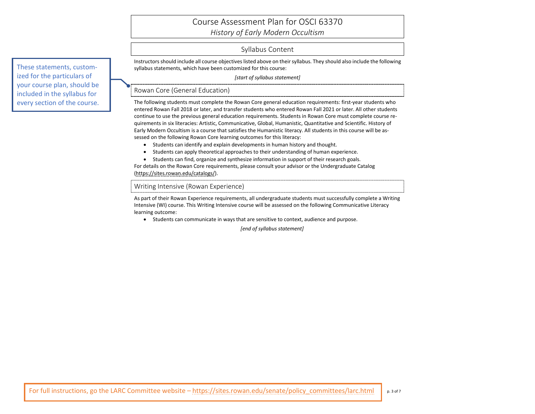## Course Assessment Plan for OSCI 63370

*History of Early Modern Occultism*

### Syllabus Content

Instructors should include all course objectives listed above on their syllabus. They should also include the following syllabus statements, which have been customized for this course:

*[start of syllabus statement]*

### Rowan Core (General Education)

The following students must complete the Rowan Core general education requirements: first-year students who entered Rowan Fall 2018 or later, and transfer students who entered Rowan Fall 2021 or later. All other students continue to use the previous general education requirements. Students in Rowan Core must complete course requirements in six literacies: Artistic, Communicative, Global, Humanistic, Quantitative and Scientific. History of Early Modern Occultism is a course that satisfies the Humanistic literacy. All students in this course will be assessed on the following Rowan Core learning outcomes for this literacy:

- Students can identify and explain developments in human history and thought.
- Students can apply theoretical approaches to their understanding of human experience.
- Students can find, organize and synthesize information in support of their research goals.

For details on the Rowan Core requirements, please consult your advisor or the Undergraduate Catalog [\(https://sites.rowan.edu/catalogs/\)](https://sites.rowan.edu/catalogs/).

### Writing Intensive (Rowan Experience)

As part of their Rowan Experience requirements, all undergraduate students must successfully complete a Writing Intensive (WI) course. This Writing Intensive course will be assessed on the following Communicative Literacy learning outcome:

• Students can communicate in ways that are sensitive to context, audience and purpose.

*[end of syllabus statement]*

These statements, customized for the particulars of your course plan, should be included in the syllabus for every section of the course.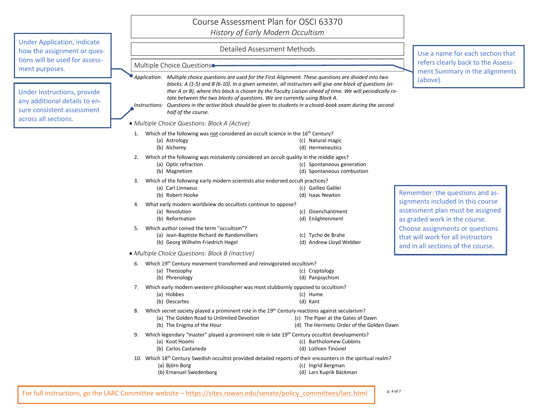### Course Assessment Plan for OSCI 63370 *History of Early Modern Occultism*

Under Application, indicate how the assignment or questions will be used for assessment purposes.

Under Instructions, provide any additional details to ensure consistent assessment across all sections.

### Detailed Assessment Methods

Multiple Choice Questions

*Application: Multiple choice questions are used for the First Alignment. These questions are divided into two blocks: A (1-5) and B (6-10). In a given semester, all instructors will give one block of questions (either A or B), where this block is chosen by the Faculty Liaison ahead of time. We will periodically rotate between the two blocks of questions. We are currently using Block A.*

*Instructions: Questions in the active block should be given to students in a closed-book exam during the second half of the course.*

• *Multiple Choice Questions: Block A (Active)*

- 1. Which of the following was not considered an occult science in the 16<sup>th</sup> Century?
	- (a) Astrology (b) Alchemy (c) Natural magic (d) Hermeneutics
- 2. Which of the following was mistakenly considered an occult quality in the middle ages?
	- (a) Optic refraction (b) Magnetism (c) Spontaneous generation (d) Spontaneous combustion
- 3. Which of the following early modern scientists also endorsed occult practices?
	- (a) Carl Linnaeus (b) Robert Hooke (c) Galileo Galilei (d) Isaac Newton
- 4. What early modern worldview do occultists continue to oppose?
- (a) Revolution (b) Reformation (c) Disenchantment (d) Enlightenment 5. Which author coined the term "occultism"?
	- (a) Jean-Baptiste Richard de Randonvilliers (b) Georg Wilhelm Friedrich Hegel (c) Tycho de Brahe (d) Andrew Lloyd Webber
- *Multiple Choice Questions: Block B (Inactive)*

|    | 6. Which $19^{th}$ Century movement transformed and reinvigorated occultism?<br>(a) Theosophy<br>(b) Phrenology                                                                       | (c) Cryptology<br>(d) Panpsychism                                               |
|----|---------------------------------------------------------------------------------------------------------------------------------------------------------------------------------------|---------------------------------------------------------------------------------|
|    | 7. Which early modern western philosopher was most stubbornly opposed to occultism?<br>(a) Hobbes<br>(b) Descartes                                                                    | (c) Hume<br>(d) Kant                                                            |
| 8. | Which secret society played a prominent role in the 19 <sup>th</sup> Century reactions against secularism?<br>(a) The Golden Road to Unlimited Devotion<br>(b) The Enigma of the Hour | (c) The Piper at the Gates of Dawn<br>(d) The Hermetic Order of the Golden Dawn |
| 9. | Which legendary "master" played a prominent role in late 19 <sup>th</sup> Century occultist developments?<br>(a) Koot Hoomi<br>(b) Carlos Castaneda                                   | (c) Bartholomew Cubbins<br>(d) Lúthien Tinúviel                                 |
|    | 10. Which 18 <sup>th</sup> Century Swedish occultist provided detailed reports of their encounters in the spiritual realm?<br>(a) Björn Borg<br>(b) Emanuel Swedenborg                | (c) Ingrid Bergman<br>(d) Lars Kuprik Bäckman                                   |

Use a name for each section that refers clearly back to the Assessment Summary in the alignments (above).

Remember: the questions and assignments included in this course assessment plan must be assigned as graded work in the course. Choose assignments or questions that will work for all instructors and in all sections of the course.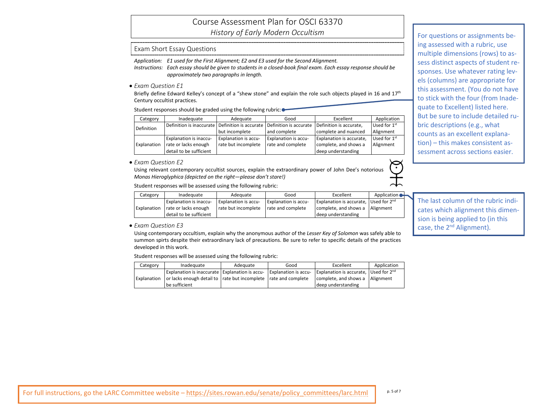# Course Assessment Plan for OSCI 63370

*History of Early Modern Occultism*

### Exam Short Essay Questions

*Application: E1 used for the First Alignment; E2 and E3 used for the Second Alignment.*

*Instructions: Each essay should be given to students in a closed-book final exam. Each essay response should be approximately two paragraphs in length.*

• *Exam Question E1*

Briefly define Edward Kelley's concept of a "shew stone" and explain the role such objects played in 16 and 17<sup>th</sup> Century occultist practices.

Student responses should be graded using the following rubric:  $\bullet$ 

| Category    | Inadequate                                      | Adequate                    | Good                                              | Excellent                       | Application              |
|-------------|-------------------------------------------------|-----------------------------|---------------------------------------------------|---------------------------------|--------------------------|
| Definition  | Definition is inaccurate Definition is accurate |                             | Definition is accurate,<br>Definition is accurate |                                 | Used for 1 <sup>st</sup> |
|             |                                                 | but incomplete              | and complete                                      | complete and nuanced            | Alignment                |
|             | <b>Explanation is inaccu-</b>                   | <b>Explanation is accu-</b> | <b>Explanation is accu-</b>                       | <b>Explanation is accurate,</b> | Used for 1 <sup>st</sup> |
| Explanation | rate or lacks enough                            | rate but incomplete         | rate and complete                                 | complete, and shows a           | Alignment                |
|             | detail to be sufficient                         |                             |                                                   | deep understanding              |                          |

• *Exam Question E2*

Using relevant contemporary occultist sources, explain the extraordinary power of John Dee's notorious *Monas Hieroglyphica (depicted on the right—please don't stare!)*

Student responses will be assessed using the following rubric:

| Category    | Inadequate                    | Adequate             | Good                        | Excellent                             | Application |
|-------------|-------------------------------|----------------------|-----------------------------|---------------------------------------|-------------|
|             | <b>Explanation is inaccu-</b> | Explanation is accu- | <b>Explanation is accu-</b> | Explanation is accurate, Used for 2nd |             |
| Explanation | rate or lacks enough          | rate but incomplete  | rate and complete           | complete, and shows a                 | l Alignment |
|             | I detail to be sufficient     |                      |                             | deep understanding                    |             |

• *Exam Question E3*

Using contemporary occultism, explain why the anonymous author of the *Lesser Key of Solomon* was safely able to summon spirts despite their extraordinary lack of precautions. Be sure to refer to specific details of the practices developed in this work.

Student responses will be assessed using the following rubric:

| Category    | Inadequate                                                          | Adequate | Good                        | Excellent                                    | Application |
|-------------|---------------------------------------------------------------------|----------|-----------------------------|----------------------------------------------|-------------|
|             | Explanation is inaccurate   Explanation is accu-                    |          | <b>Explanation is accu-</b> | <b>Explanation is accurate, Used for 2nd</b> |             |
| Explanation | or lacks enough detail to   rate but incomplete   rate and complete |          |                             | complete, and shows a                        | Alignment   |
|             | l be sufficient                                                     |          |                             | deep understanding                           |             |

For questions or assignments being assessed with a rubric, use multiple dimensions (rows) to assess distinct aspects of student responses. Use whatever rating levels (columns) are appropriate for this assessment. (You do not have to stick with the four (from Inadequate to Excellent) listed here. But be sure to include detailed rubric descriptions (e.g., what counts as an excellent explanation) – this makes consistent assessment across sections easier.

The last column of the rubric indicates which alignment this dimension is being applied to (in this case, the 2<sup>nd</sup> Alignment).

 $\odot$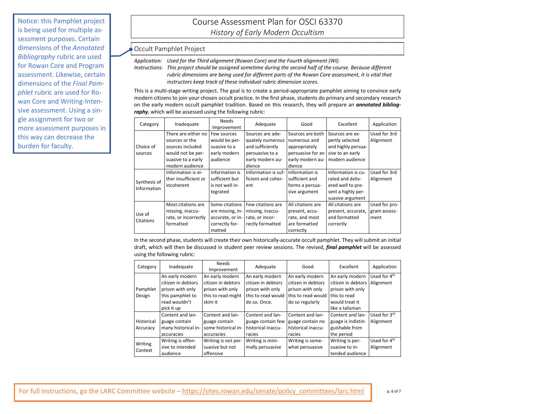Notice: this Pamphlet project is being used for multiple assessment purposes. Certain dimensions of the *Annotated Bibliography* rubric are used for Rowan Core and Program assessment. Likewise, certain dimensions of the *Final Pamphlet* rubric are used for Rowan Core and Writing-Intensive assessment. Using a single assignment for two or more assessment purposes in this way can decrease the burden for faculty.

## Course Assessment Plan for OSCI 63370 *History of Early Modern Occultism*

### Occult Pamphlet Project

*Application: Used for the Third alignment (Rowan Core) and the Fourth alignment (WI).*

*Instructions: This project should be assigned sometime during the second half of the course. Because different rubric dimensions are being used for different parts of the Rowan Core assessment, it is vital that instructors keep track of these individual rubric dimension scores.*

This is a multi-stage writing project. The goal is to create a period-appropriate pamphlet aiming to convince early modern citizens to join your chosen occult practice. In the first phase, students do primary and secondary research on the early modern occult pamphlet tradition. Based on this research, they will prepare an *annotated bibliography*, which will be assessed using the following rubric:

| Category     | Inadequate           | <b>Needs</b>     | Adequate                            | Good              | Excellent          | Application   |
|--------------|----------------------|------------------|-------------------------------------|-------------------|--------------------|---------------|
|              |                      | Improvement      |                                     |                   |                    |               |
|              | There are either no  | Few sources      | Sources are ade-                    | Sources are both  | Sources are ex-    | Used for 3rd  |
|              | sources or the       | would be per-    | quately numerous                    | numerous and      | pertly selected    | Alignment     |
| Choice of    | sources included     | suasive to a     | and sufficiently                    | appropriately     | and highly persua- |               |
| sources      | would not be per-    | early modern     | persuasive to a                     | persuasive for an | sive to an early   |               |
|              | suasive to a early   | audience         | early modern au-                    | early modern au-  | modern audience    |               |
|              | modern audience      |                  | dience                              | dience            |                    |               |
|              | Information is ei-   | Information is   | Information is suf-                 | Information is    | Information is cu- | Used for 3rd  |
| Synthesis of | ther insufficient or | sufficient but   | ficient and coher-                  | sufficient and    | rated and deliv-   | Alignment     |
| Information  | incoherent           | is not well in-  | ent                                 | forms a persua-   | ered well to pre-  |               |
|              |                      | tegrated         |                                     | sive argument     | sent a highly per- |               |
|              |                      |                  |                                     |                   | suasive argument   |               |
|              | Most citations are   | Some citations   | Few citations are                   | All citations are | All citations are  | Used for pro- |
|              | missing, inaccu-     |                  | are missing, in-   missing, inaccu- | present, accu-    | present, accurate, | gram assess-  |
| Use of       | rate, or incorrectly | accurate, or in- | rate, or incor-                     | rate, and most    | and formatted      | ment          |
| Citations    | formatted            | correctly for-   | rectly formatted                    | are formatted     | correctly          |               |
|              |                      | matted           |                                     | correctly         |                    |               |

In the second phase, students will create their own historically-accurate occult pamphlet. They will submit an initial draft, which will then be discussed in student peer review sessions. The revised, *final pamphlet* will be assessed using the following rubric:

| Category   | Inadequate          | <b>Needs</b><br>Improvement | Adequate           | Good                              | Excellent          | Application              |
|------------|---------------------|-----------------------------|--------------------|-----------------------------------|--------------------|--------------------------|
|            | An early modern     | An early modern             | An early modern    | An early modern                   | An early modern    | Used for 4 <sup>th</sup> |
|            | citizen in debtors  | citizen in debtors          | citizen in debtors | citizen in debtors                | citizen in debtors | Alignment                |
| Pamphlet   | prison with only    | prison with only            | prison with only   | prison with only                  | prison with only   |                          |
| Design     | this pamphlet to    | this to read might          | this to read would | this to read would I this to read |                    |                          |
|            | read wouldn't       | skim it                     | do so. Once.       | do so regularly                   | would treat it     |                          |
|            | pick it up          |                             |                    |                                   | like a talisman    |                          |
|            | Content and lan-    | Content and lan-            | Content and lan-   | Content and lan-                  | Content and lan-   | Used for 3rd             |
| Historical | guage contain       | guage contain               | guage contain few  | guage contain no                  | guage is indistin- | Alignment                |
| Accuracy   | many historical in- | some historical in-         | historical inaccu- | historical inaccu-                | guishable from     |                          |
|            | accuracies          | accuracies                  | racies             | racies                            | the period         |                          |
|            | Writing is offen-   | Writing is not per-         | Writing is mini-   | Writing is some-                  | Writing is per-    | Used for 4 <sup>th</sup> |
| Writing    | sive to intended    | suasive but not             | mally persuasive   | what persuasive                   | suasive to in-     | Alignment                |
| Context    | audience            | offensive                   |                    |                                   | tended audience    |                          |